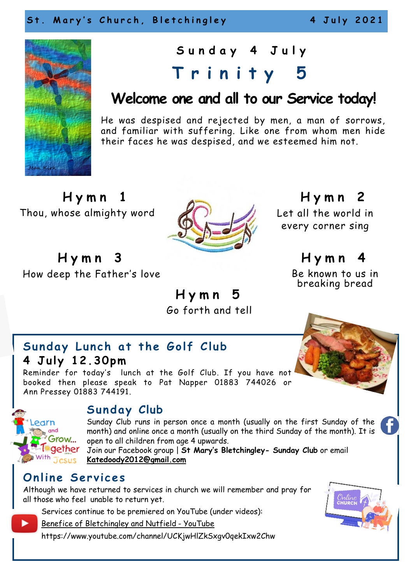

### **S u n d a y 4 J u l y**

## **T r i n i t y 5**

### **Welcome one and all to our Service today!**

He was despised and rejected by men, a man of sorrows, and familiar with suffering. Like one from whom men hide their faces he was despised, and we esteemed him not.

 **H y m n 1** Thou, whose almighty word



**H y m n 3**  How deep the Father's love

**H y m n 5**

Go forth and tell

 **H y m n 2**

Let all the world in every corner sing

> **H y m n 4** Be known to us in breaking bread

#### Sunday Lunch at the Golf Club **4 J ul y 1 2 . 30 pm**

Reminder for today's lunch at the Golf Club. If you have not booked then please speak to Pat Napper 01883 744026 or Ann Pressey 01883 744191.



### Sunday Club

Sunday Club runs in person once a month (usually on the first Sunday of the month) and online once a month (usually on the third Sunday of the month). It is open to all children from age 4 upwards.

Join our Facebook group | **St Mary's Bletchingley- Sunday Club** or email **[Katedoody2012@gmail.com](mailto:Katedoody2012@gmail.com)**

### **Online Services**

Although we have returned to services in church we will remember and pray for all those who feel unable to return yet.

Services continue to be premiered on YouTube (under videos):

[Benefice of Bletchingley and Nutfield](https://www.youtube.com/channel/UCKjwHlZkSxgv0qekIxw2Chw) - YouTube

https://www.youtube.com/channel/UCKjwHlZkSxgv0qekIxw2Chw

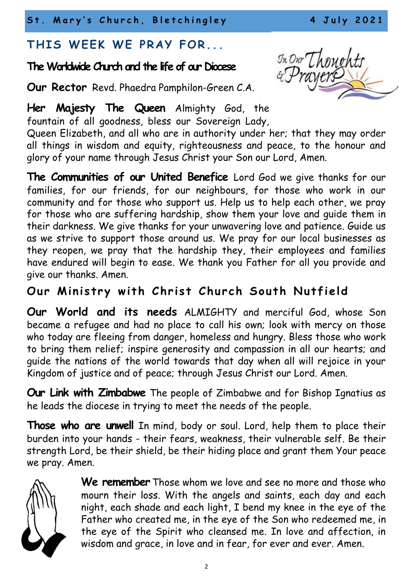**St. Mary's Church, Bletchingley 4 July 2021** 

### THIS WEEK WE PRAY FOR ...

### **The Worldwide Church and the life of our Diocese**

**Our Rector** Revd. Phaedra Pamphilon-Green C.A.

**Her Majesty The Queen** Almighty God, the fountain of all goodness, bless our Sovereign Lady,

Queen Elizabeth, and all who are in authority under her; that they may order all things in wisdom and equity, righteousness and peace, to the honour and glory of your name through Jesus Christ your Son our Lord, Amen.

**The Communities of our United Benefice** Lord God we give thanks for our families, for our friends, for our neighbours, for those who work in our community and for those who support us. Help us to help each other, we pray for those who are suffering hardship, show them your love and guide them in their darkness. We give thanks for your unwavering love and patience. Guide us as we strive to support those around us. We pray for our local businesses as they reopen, we pray that the hardship they, their employees and families have endured will begin to ease. We thank you Father for all you provide and give our thanks. Amen.

### **Our Ministry with Christ Church South Nutfield**

**Our World and its needs** ALMIGHTY and merciful God, whose Son became a refugee and had no place to call his own; look with mercy on those who today are fleeing from danger, homeless and hungry. Bless those who work to bring them relief; inspire generosity and compassion in all our hearts; and guide the nations of the world towards that day when all will rejoice in your Kingdom of justice and of peace; through Jesus Christ our Lord. Amen.

**Our Link with Zimbabwe** The people of Zimbabwe and for Bishop Ignatius as he leads the diocese in trying to meet the needs of the people.

**Those who are unwell** In mind, body or soul. Lord, help them to place their burden into your hands - their fears, weakness, their vulnerable self. Be their strength Lord, be their shield, be their hiding place and grant them Your peace we pray. Amen.



**We remember** Those whom we love and see no more and those who mourn their loss. With the angels and saints, each day and each night, each shade and each light, I bend my knee in the eye of the Father who created me, in the eye of the Son who redeemed me, in the eye of the Spirit who cleansed me. In love and affection, in wisdom and grace, in love and in fear, for ever and ever. Amen.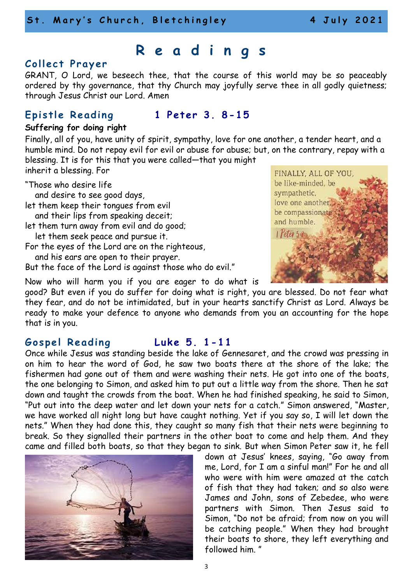### **R e a d i n g s**

#### **C oll e c t P r a y er**

GRANT, O Lord, we beseech thee, that the course of this world may be so peaceably ordered by thy governance, that thy Church may joyfully serve thee in all godly quietness; through Jesus Christ our Lord. Amen

#### Epistle Reading 1 Peter 3. 8-15

#### **Suffering for doing right**

Finally, all of you, have unity of spirit, sympathy, love for one another, a tender heart, and a humble mind. Do not repay evil for evil or abuse for abuse; but, on the contrary, repay with a blessing. It is for this that you were called—that you might

inherit a blessing. For

"Those who desire life

and desire to see good days,

let them keep their tongues from evil and their lips from speaking deceit;

let them turn away from evil and do good; let them seek peace and pursue it.

For the eyes of the Lord are on the righteous,

and his ears are open to their prayer.

But the face of the Lord is against those who do evil."

FINALLY, ALL OF YOU. be like-minded, be sympathetic, love one another. be compassionate and humble. I Peter 3

Now who will harm you if you are eager to do what is

good? But even if you do suffer for doing what is right, you are blessed. Do not fear what they fear, and do not be intimidated, but in your hearts sanctify Christ as Lord. Always be ready to make your defence to anyone who demands from you an accounting for the hope that is in you.

#### Gospel Reading Luke 5. 1-11

Once while Jesus was standing beside the lake of Gennesaret, and the crowd was pressing in on him to hear the word of God, he saw two boats there at the shore of the lake; the fishermen had gone out of them and were washing their nets. He got into one of the boats, the one belonging to Simon, and asked him to put out a little way from the shore. Then he sat down and taught the crowds from the boat. When he had finished speaking, he said to Simon, "Put out into the deep water and let down your nets for a catch." Simon answered, "Master, we have worked all night long but have caught nothing. Yet if you say so, I will let down the nets." When they had done this, they caught so many fish that their nets were beginning to break. So they signalled their partners in the other boat to come and help them. And they came and filled both boats, so that they began to sink. But when Simon Peter saw it, he fell



down at Jesus' knees, saying, "Go away from me, Lord, for I am a sinful man!" For he and all who were with him were amazed at the catch of fish that they had taken; and so also were James and John, sons of Zebedee, who were partners with Simon. Then Jesus said to Simon, "Do not be afraid; from now on you will be catching people." When they had brought their boats to shore, they left everything and followed him. "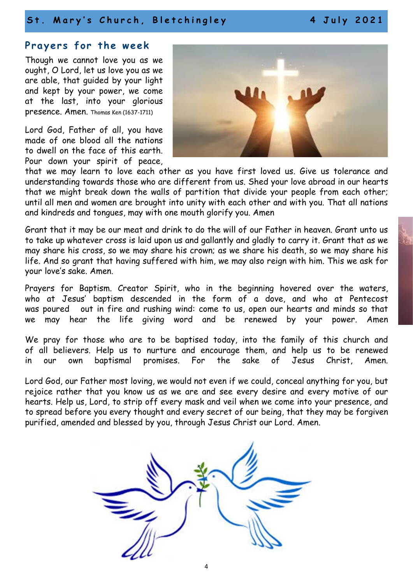#### **St. Mary's Church, Bletchingley 4 July 2021**

#### Prayers for the week

Though we cannot love you as we ought, O Lord, let us love you as we are able, that guided by your light and kept by your power, we come at the last, into your glorious presence. Amen. Thomas Ken (1637-1711)

Lord God, Father of all, you have made of one blood all the nations to dwell on the face of this earth. Pour down your spirit of peace,



that we may learn to love each other as you have first loved us. Give us tolerance and understanding towards those who are different from us. Shed your love abroad in our hearts that we might break down the walls of partition that divide your people from each other; until all men and women are brought into unity with each other and with you. That all nations and kindreds and tongues, may with one mouth glorify you. Amen

Grant that it may be our meat and drink to do the will of our Father in heaven. Grant unto us to take up whatever cross is laid upon us and gallantly and gladly to carry it. Grant that as we may share his cross, so we may share his crown; as we share his death, so we may share his life. And so grant that having suffered with him, we may also reign with him. This we ask for your love's sake. Amen.

Prayers for Baptism. Creator Spirit, who in the beginning hovered over the waters, who at Jesus' baptism descended in the form of a dove, and who at Pentecost was poured out in fire and rushing wind: come to us, open our hearts and minds so that we may hear the life giving word and be renewed by your power. Amen

We pray for those who are to be baptised today, into the family of this church and of all believers. Help us to nurture and encourage them, and help us to be renewed in our own baptismal promises. For the sake of Jesus Christ, Amen.

Lord God, our Father most loving, we would not even if we could, conceal anything for you, but rejoice rather that you know us as we are and see every desire and every motive of our hearts. Help us, Lord, to strip off every mask and veil when we come into your presence, and to spread before you every thought and every secret of our being, that they may be forgiven purified, amended and blessed by you, through Jesus Christ our Lord. Amen.

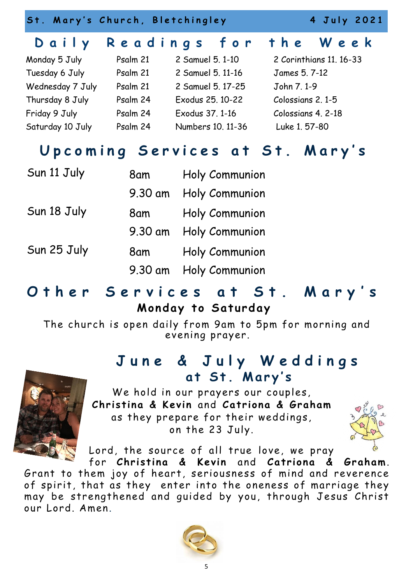#### St. Mary's Church, Bletchingley **4 July 2021**

### **D a i l y R e a d i n g s f o r t h e W e e k**

| Monday 5 July    | Psalm 21 | 2 Samuel 5, 1-10  | 2 Corinthians 11, 16-33 |
|------------------|----------|-------------------|-------------------------|
| Tuesday 6 July   | Psalm 21 | 2 Samuel 5, 11-16 | James 5. 7-12           |
| Wednesday 7 July | Psalm 21 | 2 Samuel 5, 17-25 | John 7, 1-9             |
| Thursday 8 July  | Psalm 24 | Exodus 25, 10-22  | Colossians 2.1-5        |
| Friday 9 July    | Psalm 24 | Exodus 37, 1-16   | Colossians 4, 2-18      |
| Saturday 10 July | Psalm 24 | Numbers 10, 11-36 | Luke 1, 57-80           |

### **U p c o m i n g S e r v i c e s a t S t . M a r y ' s**

| Sun 11 July | 8am     | Holy Communion        |
|-------------|---------|-----------------------|
|             | 9.30 am | Holy Communion        |
| Sun 18 July | 8am     | Holy Communion        |
|             | 9.30 am | <b>Holy Communion</b> |
| Sun 25 July | 8am     | Holy Communion        |
|             | 9.30 am | Holy Communion        |

### **O t h e r S e r v i c e s a t S t . M a r y ' s Monday to Saturday**

The church is open daily from 9am to 5pm for morning and evening prayer.

### **J u n e & J u l y W e d d i n g s a t S t . M a r y ' s**



We hold in our prayers our couples, **Christina & Kevin and Catriona & Graham** as they prepare for their weddings, on the 23 July.



Lord, the source of all true love, we pray for **Christina & Kevin** and **Catriona & Graham.** 

Grant to them joy of heart, seriousness of mind and reverence of spirit, that as they enter into the oneness of marriage they may be strengthened and guided by you, through Jesus Christ our Lord. Amen.